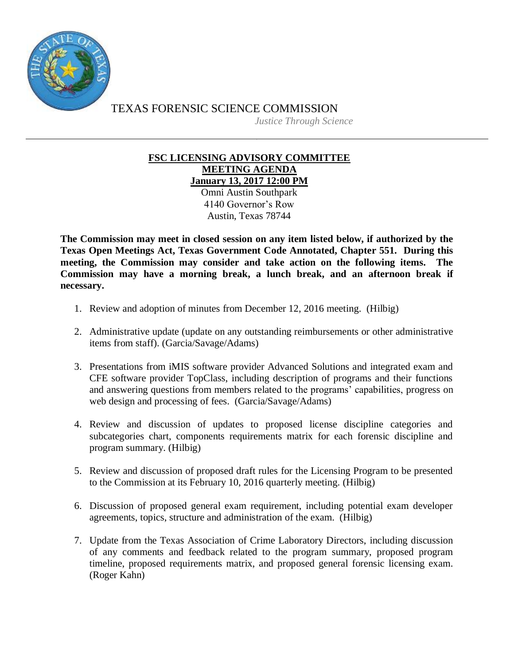

TEXAS FORENSIC SCIENCE COMMISSION *Justice Through Science*

> **FSC LICENSING ADVISORY COMMITTEE MEETING AGENDA January 13, 2017 12:00 PM**

> > Omni Austin Southpark 4140 Governor's Row Austin, Texas 78744

**The Commission may meet in closed session on any item listed below, if authorized by the Texas Open Meetings Act, Texas Government Code Annotated, Chapter 551. During this meeting, the Commission may consider and take action on the following items. The Commission may have a morning break, a lunch break, and an afternoon break if necessary.**

- 1. Review and adoption of minutes from December 12, 2016 meeting. (Hilbig)
- 2. Administrative update (update on any outstanding reimbursements or other administrative items from staff). (Garcia/Savage/Adams)
- 3. Presentations from iMIS software provider Advanced Solutions and integrated exam and CFE software provider TopClass, including description of programs and their functions and answering questions from members related to the programs' capabilities, progress on web design and processing of fees. (Garcia/Savage/Adams)
- 4. Review and discussion of updates to proposed license discipline categories and subcategories chart, components requirements matrix for each forensic discipline and program summary. (Hilbig)
- 5. Review and discussion of proposed draft rules for the Licensing Program to be presented to the Commission at its February 10, 2016 quarterly meeting. (Hilbig)
- 6. Discussion of proposed general exam requirement, including potential exam developer agreements, topics, structure and administration of the exam. (Hilbig)
- 7. Update from the Texas Association of Crime Laboratory Directors, including discussion of any comments and feedback related to the program summary, proposed program timeline, proposed requirements matrix, and proposed general forensic licensing exam. (Roger Kahn)